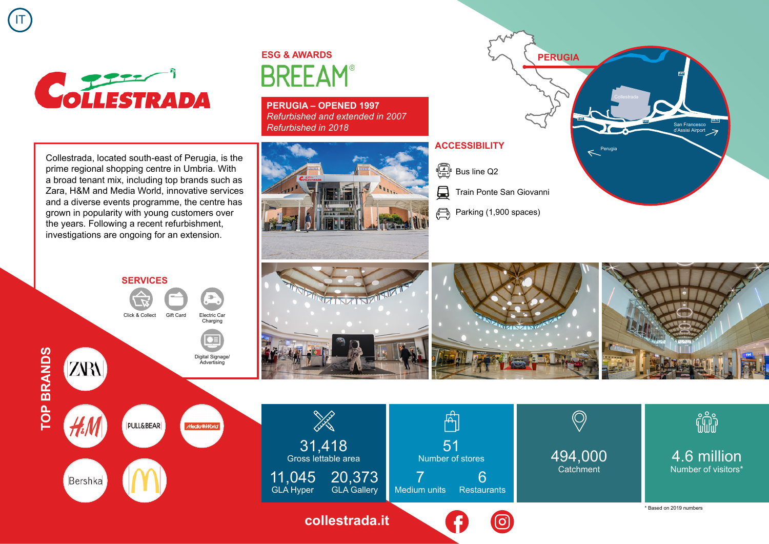

IT

## **ESG & AWARDS BREEAM®**

**PERUGIA – OPENED 1997** *Refurbished and extended in 2007 Refurbished in 2018*





4.6 million Number of visitors\*

fili

Collestrada, located south-east of Perugia, is the prime regional shopping centre in Umbria. With a broad tenant mix, including top brands such as Zara, H&M and Media World, innovative services and a diverse events programme, the centre has grown in popularity with young customers over the years. Following a recent refurbishment, investigations are ongoing for an extension.







 $\Box$